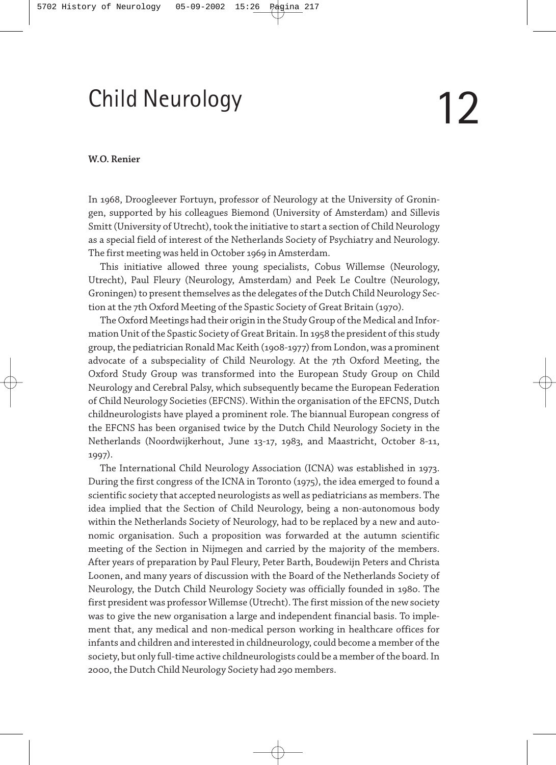# Child Neurology

## **W.O. Renier**

In 1968, Droogleever Fortuyn, professor of Neurology at the University of Groningen, supported by his colleagues Biemond (University of Amsterdam) and Sillevis Smitt (University of Utrecht), took the initiative to start a section of Child Neurology as a special field of interest of the Netherlands Society of Psychiatry and Neurology. The first meeting was held in October 1969 in Amsterdam.

This initiative allowed three young specialists, Cobus Willemse (Neurology, Utrecht), Paul Fleury (Neurology, Amsterdam) and Peek Le Coultre (Neurology, Groningen) to present themselves as the delegates of the Dutch Child Neurology Section at the 7th Oxford Meeting of the Spastic Society of Great Britain (1970).

The Oxford Meetings had their origin in the Study Group of the Medical and Information Unit of the Spastic Society of Great Britain. In 1958 the president of this study group, the pediatrician Ronald Mac Keith (1908-1977) from London, was a prominent advocate of a subspeciality of Child Neurology. At the 7th Oxford Meeting, the Oxford Study Group was transformed into the European Study Group on Child Neurology and Cerebral Palsy, which subsequently became the European Federation of Child Neurology Societies (EFCNS). Within the organisation of the EFCNS, Dutch childneurologists have played a prominent role. The biannual European congress of the EFCNS has been organised twice by the Dutch Child Neurology Society in the Netherlands (Noordwijkerhout, June 13-17, 1983, and Maastricht, October 8-11, 1997).

The International Child Neurology Association (ICNA) was established in 1973. During the first congress of the ICNA in Toronto (1975), the idea emerged to found a scientific society that accepted neurologists as well as pediatricians as members. The idea implied that the Section of Child Neurology, being a non-autonomous body within the Netherlands Society of Neurology, had to be replaced by a new and autonomic organisation. Such a proposition was forwarded at the autumn scientific meeting of the Section in Nijmegen and carried by the majority of the members. After years of preparation by Paul Fleury, Peter Barth, Boudewijn Peters and Christa Loonen, and many years of discussion with the Board of the Netherlands Society of Neurology, the Dutch Child Neurology Society was officially founded in 1980. The first president was professor Willemse (Utrecht). The first mission of the new society was to give the new organisation a large and independent financial basis. To implement that, any medical and non-medical person working in healthcare offices for infants and children and interested in childneurology, could become a member of the society, but only full-time active childneurologists could be a member of the board. In 2000, the Dutch Child Neurology Society had 290 members.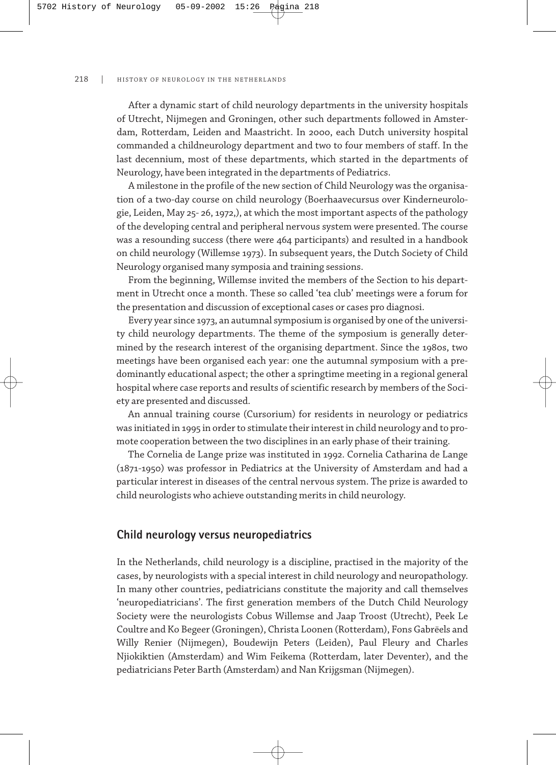#### 218 | HISTORY OF NEUROLOGY IN THE NETHERLANDS

After a dynamic start of child neurology departments in the university hospitals of Utrecht, Nijmegen and Groningen, other such departments followed in Amsterdam, Rotterdam, Leiden and Maastricht. In 2000, each Dutch university hospital commanded a childneurology department and two to four members of staff. In the last decennium, most of these departments, which started in the departments of Neurology, have been integrated in the departments of Pediatrics.

A milestone in the profile of the new section of Child Neurology was the organisation of a two-day course on child neurology (Boerhaavecursus over Kinderneurologie, Leiden, May 25-26, 1972,), at which the most important aspects of the pathology of the developing central and peripheral nervous system were presented. The course was a resounding success (there were 464 participants) and resulted in a handbook on child neurology (Willemse 1973). In subsequent years, the Dutch Society of Child Neurology organised many symposia and training sessions.

From the beginning, Willemse invited the members of the Section to his department in Utrecht once a month. These so called 'tea club' meetings were a forum for the presentation and discussion of exceptional cases or cases pro diagnosi.

Every year since 1973, an autumnal symposium is organised by one of the university child neurology departments. The theme of the symposium is generally determined by the research interest of the organising department. Since the 1980s, two meetings have been organised each year: one the autumnal symposium with a predominantly educational aspect; the other a springtime meeting in a regional general hospital where case reports and results of scientific research by members of the Society are presented and discussed.

An annual training course (Cursorium) for residents in neurology or pediatrics was initiated in 1995 in order to stimulate their interest in child neurology and to promote cooperation between the two disciplines in an early phase of their training.

The Cornelia de Lange prize was instituted in 1992. Cornelia Catharina de Lange (1871-1950) was professor in Pediatrics at the University of Amsterdam and had a particular interest in diseases of the central nervous system. The prize is awarded to child neurologists who achieve outstanding merits in child neurology.

## **Child neurology versus neuropediatrics**

In the Netherlands, child neurology is a discipline, practised in the majority of the cases, by neurologists with a special interest in child neurology and neuropathology. In many other countries, pediatricians constitute the majority and call themselves 'neuropediatricians'. The first generation members of the Dutch Child Neurology Society were the neurologists Cobus Willemse and Jaap Troost (Utrecht), Peek Le Coultre and Ko Begeer (Groningen), Christa Loonen (Rotterdam), Fons Gabrëels and Willy Renier (Nijmegen), Boudewijn Peters (Leiden), Paul Fleury and Charles Njiokiktien (Amsterdam) and Wim Feikema (Rotterdam, later Deventer), and the pediatricians Peter Barth (Amsterdam) and Nan Krijgsman (Nijmegen).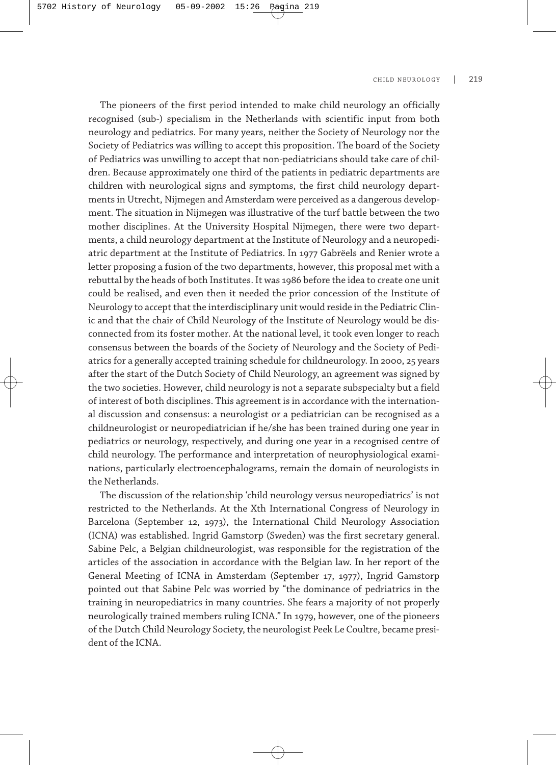#### CHILD NEUROLOGY | 219

The pioneers of the first period intended to make child neurology an officially recognised (sub-) specialism in the Netherlands with scientific input from both neurology and pediatrics. For many years, neither the Society of Neurology nor the Society of Pediatrics was willing to accept this proposition. The board of the Society of Pediatrics was unwilling to accept that non-pediatricians should take care of children. Because approximately one third of the patients in pediatric departments are children with neurological signs and symptoms, the first child neurology departments in Utrecht, Nijmegen and Amsterdam were perceived as a dangerous development. The situation in Nijmegen was illustrative of the turf battle between the two mother disciplines. At the University Hospital Nijmegen, there were two departments, a child neurology department at the Institute of Neurology and a neuropediatric department at the Institute of Pediatrics. In 1977 Gabrëels and Renier wrote a letter proposing a fusion of the two departments, however, this proposal met with a rebuttal by the heads of both Institutes. It was 1986 before the idea to create one unit could be realised, and even then it needed the prior concession of the Institute of Neurology to accept that the interdisciplinary unit would reside in the Pediatric Clinic and that the chair of Child Neurology of the Institute of Neurology would be disconnected from its foster mother. At the national level, it took even longer to reach consensus between the boards of the Society of Neurology and the Society of Pediatrics for a generally accepted training schedule for childneurology. In 2000, 25 years after the start of the Dutch Society of Child Neurology, an agreement was signed by the two societies. However, child neurology is not a separate subspecialty but a field of interest of both disciplines. This agreement is in accordance with the international discussion and consensus: a neurologist or a pediatrician can be recognised as a childneurologist or neuropediatrician if he/she has been trained during one year in pediatrics or neurology, respectively, and during one year in a recognised centre of child neurology. The performance and interpretation of neurophysiological examinations, particularly electroencephalograms, remain the domain of neurologists in the Netherlands.

The discussion of the relationship 'child neurology versus neuropediatrics' is not restricted to the Netherlands. At the Xth International Congress of Neurology in Barcelona (September 12, 1973), the International Child Neurology Association (ICNA) was established. Ingrid Gamstorp (Sweden) was the first secretary general. Sabine Pelc, a Belgian childneurologist, was responsible for the registration of the articles of the association in accordance with the Belgian law. In her report of the General Meeting of ICNA in Amsterdam (September 17, 1977), Ingrid Gamstorp pointed out that Sabine Pelc was worried by "the dominance of pedriatrics in the training in neuropediatrics in many countries. She fears a majority of not properly neurologically trained members ruling ICNA." In 1979, however, one of the pioneers of the Dutch Child Neurology Society, the neurologist Peek Le Coultre, became president of the ICNA.